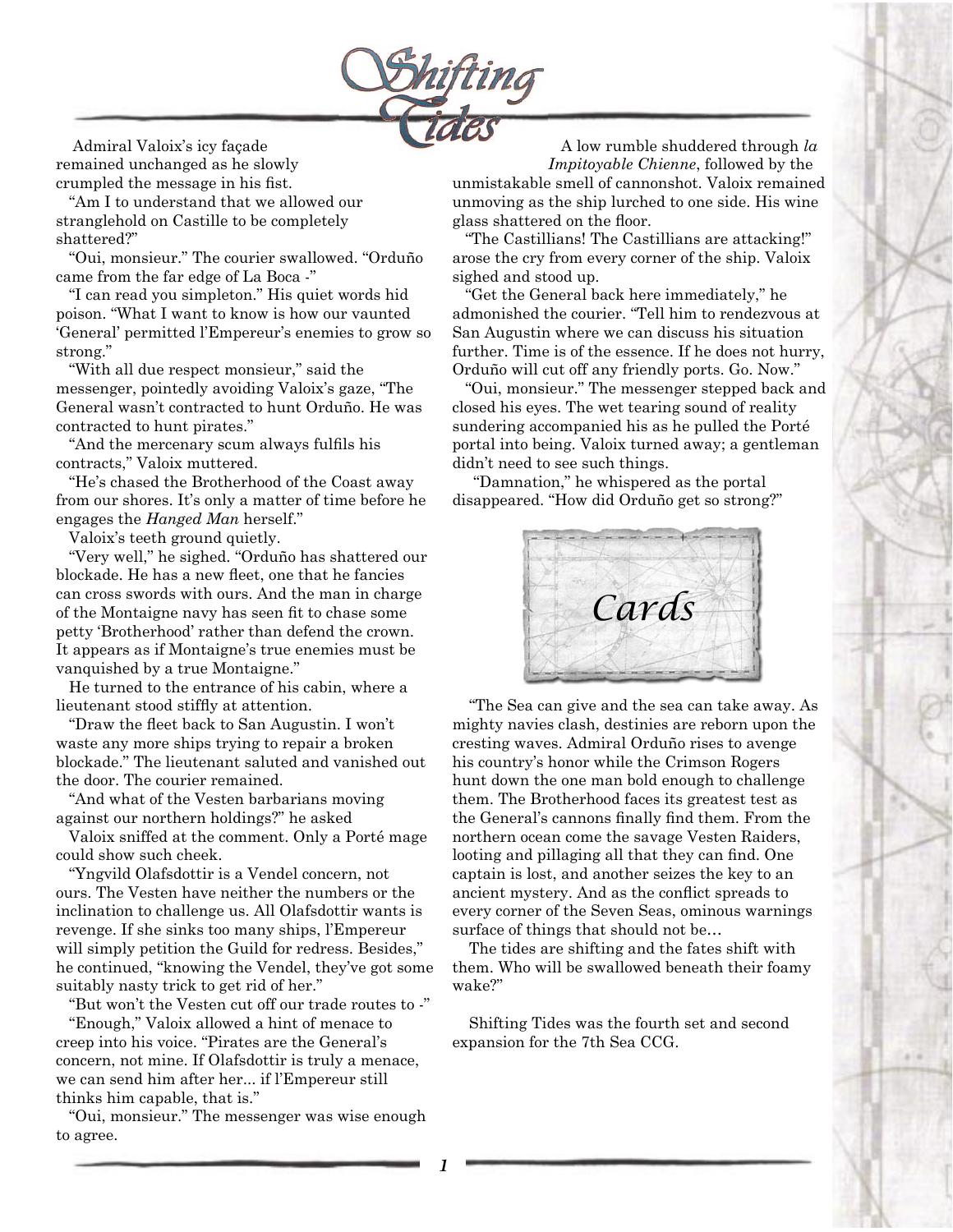

Admiral Valoix's icy façade remained unchanged as he slowly crumpled the message in his fist.

 "Am I to understand that we allowed our stranglehold on Castille to be completely shattered?"

 "Oui, monsieur." The courier swallowed. "Orduño came from the far edge of La Boca -"

 "I can read you simpleton." His quiet words hid poison. "What I want to know is how our vaunted 'General' permitted l'Empereur's enemies to grow so strong."

 "With all due respect monsieur," said the messenger, pointedly avoiding Valoix's gaze, "The General wasn't contracted to hunt Orduño. He was contracted to hunt pirates."

 "And the mercenary scum always fulfils his contracts," Valoix muttered.

 "He's chased the Brotherhood of the Coast away from our shores. It's only a matter of time before he engages the *Hanged Man* herself."

Valoix's teeth ground quietly.

 "Very well," he sighed. "Orduño has shattered our blockade. He has a new fleet, one that he fancies can cross swords with ours. And the man in charge of the Montaigne navy has seen fit to chase some petty 'Brotherhood' rather than defend the crown. It appears as if Montaigne's true enemies must be vanquished by a true Montaigne."

 He turned to the entrance of his cabin, where a lieutenant stood stiffly at attention.

 "Draw the fleet back to San Augustin. I won't waste any more ships trying to repair a broken blockade." The lieutenant saluted and vanished out the door. The courier remained.

 "And what of the Vesten barbarians moving against our northern holdings?" he asked

 Valoix sniffed at the comment. Only a Porté mage could show such cheek.

 "Yngvild Olafsdottir is a Vendel concern, not ours. The Vesten have neither the numbers or the inclination to challenge us. All Olafsdottir wants is revenge. If she sinks too many ships, l'Empereur will simply petition the Guild for redress. Besides," he continued, "knowing the Vendel, they've got some suitably nasty trick to get rid of her."

"But won't the Vesten cut off our trade routes to -"

 "Enough," Valoix allowed a hint of menace to creep into his voice. "Pirates are the General's concern, not mine. If Olafsdottir is truly a menace, we can send him after her... if l'Empereur still thinks him capable, that is."

 "Oui, monsieur." The messenger was wise enough to agree.

 A low rumble shuddered through *la Impitoyable Chienne*, followed by the unmistakable smell of cannonshot. Valoix remained unmoving as the ship lurched to one side. His wine glass shattered on the floor.

 "The Castillians! The Castillians are attacking!" arose the cry from every corner of the ship. Valoix sighed and stood up.

 "Get the General back here immediately," he admonished the courier. "Tell him to rendezvous at San Augustin where we can discuss his situation further. Time is of the essence. If he does not hurry, Orduño will cut off any friendly ports. Go. Now."

 "Oui, monsieur." The messenger stepped back and closed his eyes. The wet tearing sound of reality sundering accompanied his as he pulled the Porté portal into being. Valoix turned away; a gentleman didn't need to see such things.

 "Damnation," he whispered as the portal disappeared. "How did Orduño get so strong?"



"The Sea can give and the sea can take away. As mighty navies clash, destinies are reborn upon the cresting waves. Admiral Orduño rises to avenge his country's honor while the Crimson Rogers hunt down the one man bold enough to challenge them. The Brotherhood faces its greatest test as the General's cannons finally find them. From the northern ocean come the savage Vesten Raiders, looting and pillaging all that they can find. One captain is lost, and another seizes the key to an ancient mystery. And as the conflict spreads to every corner of the Seven Seas, ominous warnings surface of things that should not be…

The tides are shifting and the fates shift with them. Who will be swallowed beneath their foamy wake?"

Shifting Tides was the fourth set and second expansion for the 7th Sea CCG.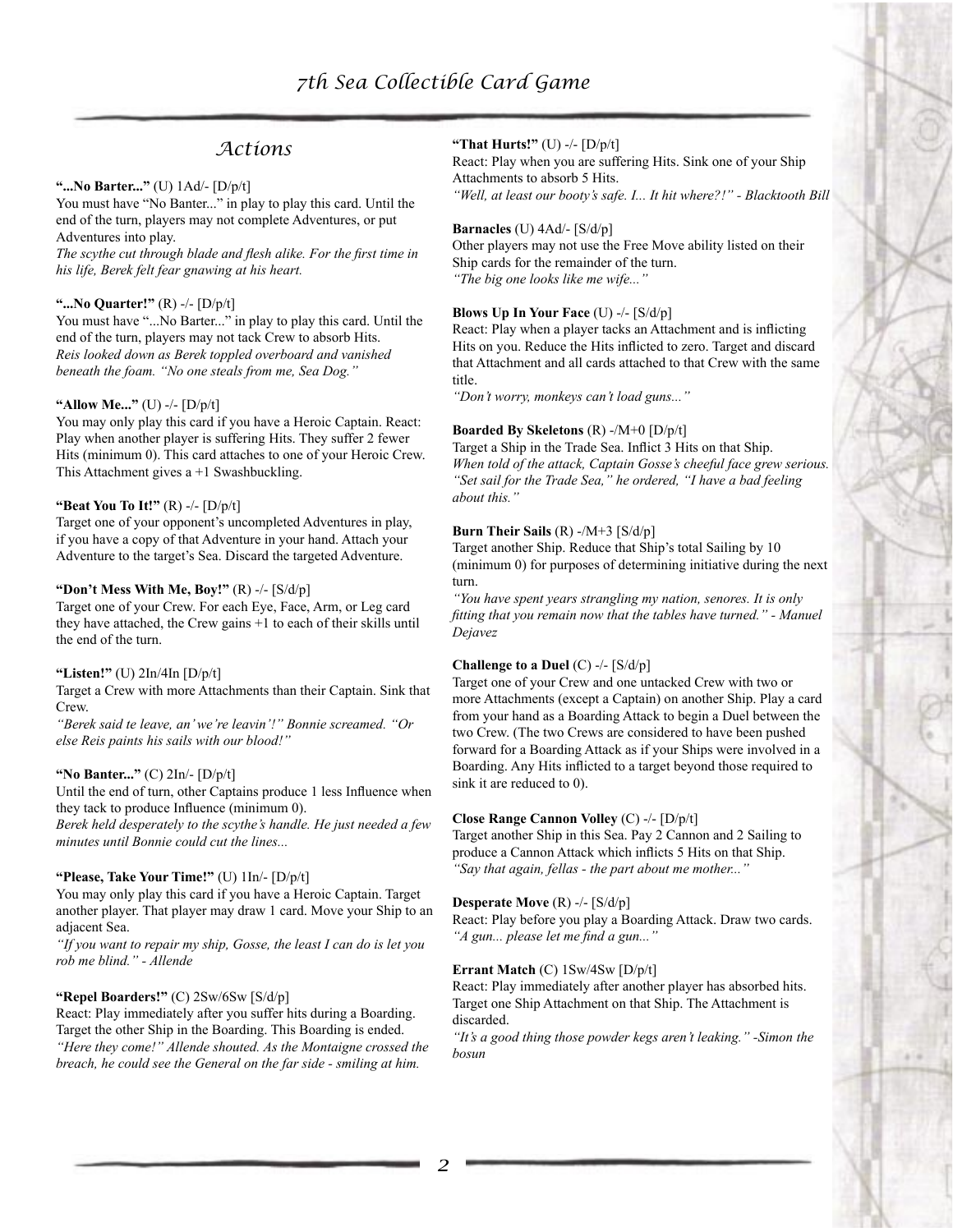## *Actions*

## **"...No Barter..."** (U) 1Ad/- [D/p/t]

You must have "No Banter..." in play to play this card. Until the end of the turn, players may not complete Adventures, or put Adventures into play.

*The scythe cut through blade and flesh alike. For the first time in his life, Berek felt fear gnawing at his heart.*

## **"...No Quarter!"** (R) -/- [D/p/t]

You must have "...No Barter..." in play to play this card. Until the end of the turn, players may not tack Crew to absorb Hits. *Reis looked down as Berek toppled overboard and vanished beneath the foam. "No one steals from me, Sea Dog."*

## **"Allow Me..."** (U) -/- [D/p/t]

You may only play this card if you have a Heroic Captain. React: Play when another player is suffering Hits. They suffer 2 fewer Hits (minimum 0). This card attaches to one of your Heroic Crew. This Attachment gives a +1 Swashbuckling.

## **"Beat You To It!"** (R) -/- [D/p/t]

Target one of your opponent's uncompleted Adventures in play, if you have a copy of that Adventure in your hand. Attach your Adventure to the target's Sea. Discard the targeted Adventure.

## **"Don't Mess With Me, Boy!"** (R) -/- [S/d/p]

Target one of your Crew. For each Eye, Face, Arm, or Leg card they have attached, the Crew gains +1 to each of their skills until the end of the turn.

#### **"Listen!"** (U) 2In/4In [D/p/t]

Target a Crew with more Attachments than their Captain. Sink that Crew.

*"Berek said te leave, an' we're leavin'!" Bonnie screamed. "Or else Reis paints his sails with our blood!"*

#### **"No Banter..."** (C) 2In/- [D/p/t]

Until the end of turn, other Captains produce 1 less Influence when they tack to produce Influence (minimum 0).

*Berek held desperately to the scythe's handle. He just needed a few minutes until Bonnie could cut the lines...*

## **"Please, Take Your Time!"** (U) 1In/- [D/p/t]

You may only play this card if you have a Heroic Captain. Target another player. That player may draw 1 card. Move your Ship to an adjacent Sea.

*"If you want to repair my ship, Gosse, the least I can do is let you rob me blind." - Allende*

#### **"Repel Boarders!"** (C) 2Sw/6Sw [S/d/p]

React: Play immediately after you suffer hits during a Boarding. Target the other Ship in the Boarding. This Boarding is ended. *"Here they come!" Allende shouted. As the Montaigne crossed the breach, he could see the General on the far side - smiling at him.*

#### **"That Hurts!"** (U) -/- [D/p/t]

React: Play when you are suffering Hits. Sink one of your Ship Attachments to absorb 5 Hits.

*"Well, at least our booty's safe. I... It hit where?!" - Blacktooth Bill*

#### **Barnacles** (U) 4Ad/- [S/d/p]

Other players may not use the Free Move ability listed on their Ship cards for the remainder of the turn. *"The big one looks like me wife..."*

## **Blows Up In Your Face** (U) -/- [S/d/p]

React: Play when a player tacks an Attachment and is inflicting Hits on you. Reduce the Hits inflicted to zero. Target and discard that Attachment and all cards attached to that Crew with the same title.

*"Don't worry, monkeys can't load guns..."*

#### **Boarded By Skeletons** (R) -/M+0 [D/p/t]

Target a Ship in the Trade Sea. Inflict 3 Hits on that Ship. *When told of the attack, Captain Gosse's cheeful face grew serious. "Set sail for the Trade Sea," he ordered, "I have a bad feeling about this."*

### **Burn Their Sails** (R) -/M+3 [S/d/p]

Target another Ship. Reduce that Ship's total Sailing by 10 (minimum 0) for purposes of determining initiative during the next turn.

*"You have spent years strangling my nation, senores. It is only fitting that you remain now that the tables have turned." - Manuel Dejavez*

## **Challenge to a Duel** (C) -/- [S/d/p]

Target one of your Crew and one untacked Crew with two or more Attachments (except a Captain) on another Ship. Play a card from your hand as a Boarding Attack to begin a Duel between the two Crew. (The two Crews are considered to have been pushed forward for a Boarding Attack as if your Ships were involved in a Boarding. Any Hits inflicted to a target beyond those required to sink it are reduced to 0).

#### **Close Range Cannon Volley** (C) -/- [D/p/t]

Target another Ship in this Sea. Pay 2 Cannon and 2 Sailing to produce a Cannon Attack which inflicts 5 Hits on that Ship. *"Say that again, fellas - the part about me mother..."*

#### **Desperate Move** (R) -/- [S/d/p]

React: Play before you play a Boarding Attack. Draw two cards. *"A gun... please let me find a gun..."*

#### **Errant Match** (C) 1Sw/4Sw [D/p/t]

React: Play immediately after another player has absorbed hits. Target one Ship Attachment on that Ship. The Attachment is discarded.

*"It's a good thing those powder kegs aren't leaking." -Simon the bosun*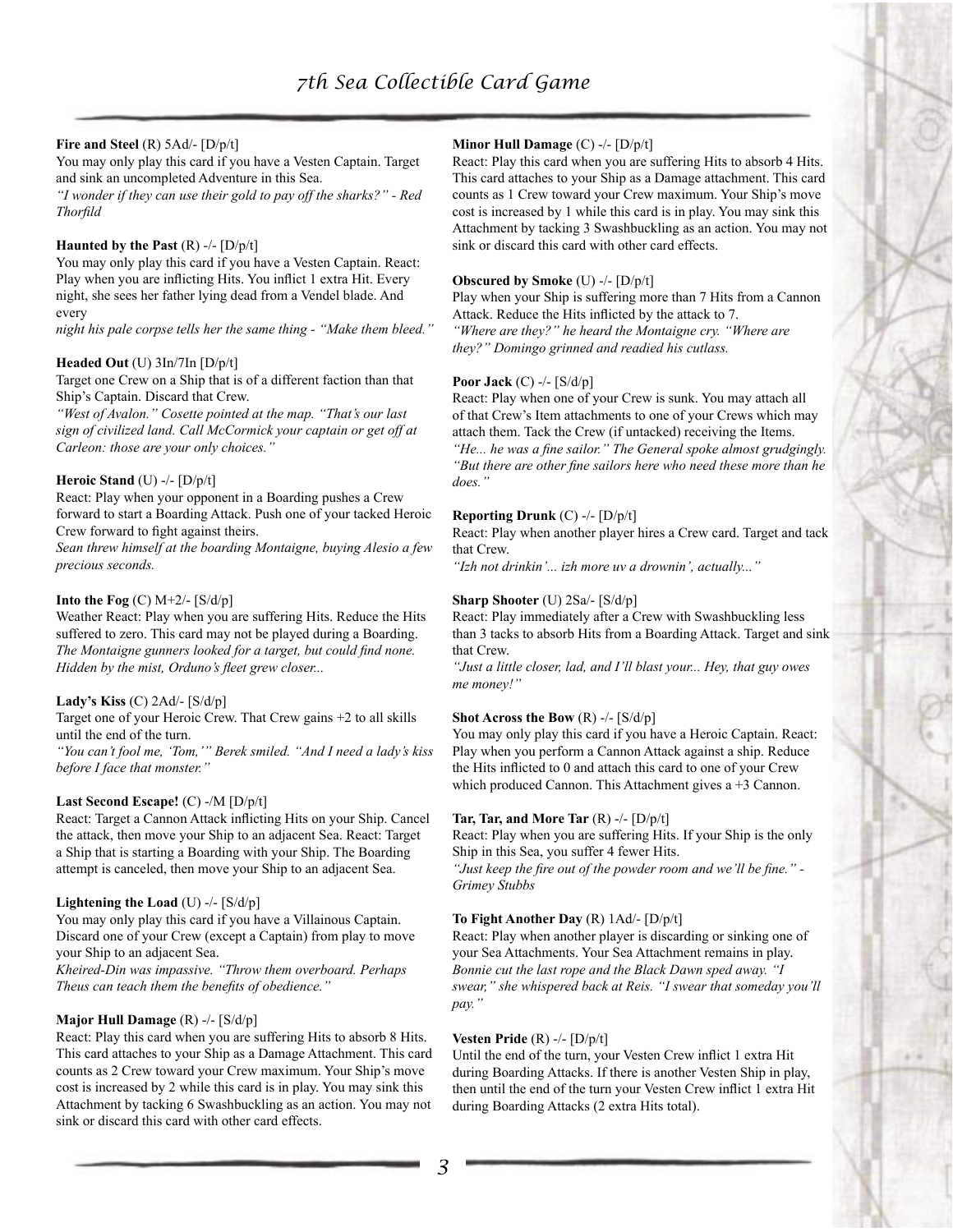## **Fire and Steel** (R) 5Ad/- [D/p/t]

You may only play this card if you have a Vesten Captain. Target and sink an uncompleted Adventure in this Sea.

*"I wonder if they can use their gold to pay off the sharks?" - Red Thorfild*

#### **Haunted by the Past** (R) -/- [D/p/t]

You may only play this card if you have a Vesten Captain. React: Play when you are inflicting Hits. You inflict 1 extra Hit. Every night, she sees her father lying dead from a Vendel blade. And every

*night his pale corpse tells her the same thing - "Make them bleed."*

#### **Headed Out** (U) 3In/7In [D/p/t]

Target one Crew on a Ship that is of a different faction than that Ship's Captain. Discard that Crew.

*"West of Avalon." Cosette pointed at the map. "That's our last sign of civilized land. Call McCormick your captain or get off at Carleon: those are your only choices."*

### **Heroic Stand** (U) -/- [D/p/t]

React: Play when your opponent in a Boarding pushes a Crew forward to start a Boarding Attack. Push one of your tacked Heroic Crew forward to fight against theirs.

*Sean threw himself at the boarding Montaigne, buying Alesio a few precious seconds.*

## **Into the Fog** (C) M+2/- [S/d/p]

Weather React: Play when you are suffering Hits. Reduce the Hits suffered to zero. This card may not be played during a Boarding. *The Montaigne gunners looked for a target, but could find none. Hidden by the mist, Orduno's fleet grew closer...*

### **Lady's Kiss** (C) 2Ad/- [S/d/p]

Target one of your Heroic Crew. That Crew gains +2 to all skills until the end of the turn.

*"You can't fool me, 'Tom,'" Berek smiled. "And I need a lady's kiss before I face that monster."*

#### **Last Second Escape!** (C) -/M [D/p/t]

React: Target a Cannon Attack inflicting Hits on your Ship. Cancel the attack, then move your Ship to an adjacent Sea. React: Target a Ship that is starting a Boarding with your Ship. The Boarding attempt is canceled, then move your Ship to an adjacent Sea.

#### **Lightening the Load** (U) -/- [S/d/p]

You may only play this card if you have a Villainous Captain. Discard one of your Crew (except a Captain) from play to move your Ship to an adjacent Sea.

*Kheired-Din was impassive. "Throw them overboard. Perhaps Theus can teach them the benefits of obedience."*

#### **Major Hull Damage** (R) -/- [S/d/p]

React: Play this card when you are suffering Hits to absorb 8 Hits. This card attaches to your Ship as a Damage Attachment. This card counts as 2 Crew toward your Crew maximum. Your Ship's move cost is increased by 2 while this card is in play. You may sink this Attachment by tacking 6 Swashbuckling as an action. You may not sink or discard this card with other card effects.

## **Minor Hull Damage** (C) -/- [D/p/t]

React: Play this card when you are suffering Hits to absorb 4 Hits. This card attaches to your Ship as a Damage attachment. This card counts as 1 Crew toward your Crew maximum. Your Ship's move cost is increased by 1 while this card is in play. You may sink this Attachment by tacking 3 Swashbuckling as an action. You may not sink or discard this card with other card effects.

#### **Obscured by Smoke** (U) -/- [D/p/t]

Play when your Ship is suffering more than 7 Hits from a Cannon Attack. Reduce the Hits inflicted by the attack to 7. *"Where are they?" he heard the Montaigne cry. "Where are they?" Domingo grinned and readied his cutlass.*

#### **Poor Jack** (C) -/- [S/d/p]

React: Play when one of your Crew is sunk. You may attach all of that Crew's Item attachments to one of your Crews which may attach them. Tack the Crew (if untacked) receiving the Items. *"He... he was a fine sailor." The General spoke almost grudgingly. "But there are other fine sailors here who need these more than he does."*

#### **Reporting Drunk** (C) -/- [D/p/t]

React: Play when another player hires a Crew card. Target and tack that Crew.

*"Izh not drinkin'... izh more uv a drownin', actually..."*

## **Sharp Shooter** (U) 2Sa/- [S/d/p]

React: Play immediately after a Crew with Swashbuckling less than 3 tacks to absorb Hits from a Boarding Attack. Target and sink that Crew.

*"Just a little closer, lad, and I'll blast your... Hey, that guy owes me money!"*

#### **Shot Across the Bow** (R) -/- [S/d/p]

You may only play this card if you have a Heroic Captain. React: Play when you perform a Cannon Attack against a ship. Reduce the Hits inflicted to 0 and attach this card to one of your Crew which produced Cannon. This Attachment gives a +3 Cannon.

#### **Tar, Tar, and More Tar**  $(R)$  -/-  $[D/p/t]$

React: Play when you are suffering Hits. If your Ship is the only Ship in this Sea, you suffer 4 fewer Hits.

*"Just keep the fire out of the powder room and we'll be fine." - Grimey Stubbs*

#### **To Fight Another Day** (R) 1Ad/- [D/p/t]

React: Play when another player is discarding or sinking one of your Sea Attachments. Your Sea Attachment remains in play. *Bonnie cut the last rope and the Black Dawn sped away. "I swear," she whispered back at Reis. "I swear that someday you'll pay."*

#### **Vesten Pride** (R) -/- [D/p/t]

Until the end of the turn, your Vesten Crew inflict 1 extra Hit during Boarding Attacks. If there is another Vesten Ship in play, then until the end of the turn your Vesten Crew inflict 1 extra Hit during Boarding Attacks (2 extra Hits total).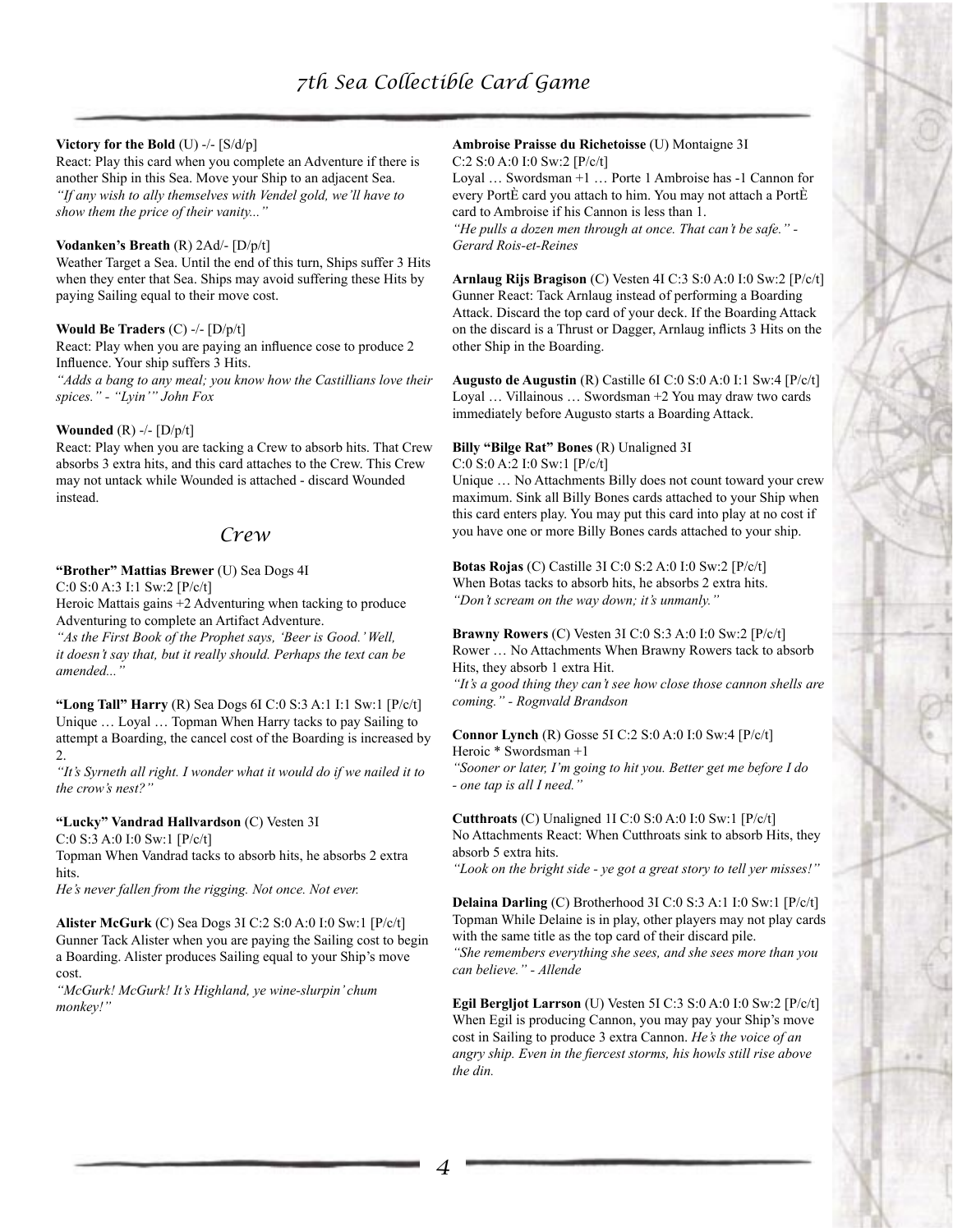## **Victory for the Bold** (U) -/- [S/d/p]

React: Play this card when you complete an Adventure if there is another Ship in this Sea. Move your Ship to an adjacent Sea. *"If any wish to ally themselves with Vendel gold, we'll have to show them the price of their vanity..."*

## **Vodanken's Breath** (R) 2Ad/- [D/p/t]

Weather Target a Sea. Until the end of this turn, Ships suffer 3 Hits when they enter that Sea. Ships may avoid suffering these Hits by paying Sailing equal to their move cost.

## **Would Be Traders** (C) -/- [D/p/t]

React: Play when you are paying an influence cose to produce 2 Influence. Your ship suffers 3 Hits.

*"Adds a bang to any meal; you know how the Castillians love their spices." - "Lyin'" John Fox*

## **Wounded** (R) -/- [D/p/t]

React: Play when you are tacking a Crew to absorb hits. That Crew absorbs 3 extra hits, and this card attaches to the Crew. This Crew may not untack while Wounded is attached - discard Wounded instead.

## *Crew*

## **"Brother" Mattias Brewer** (U) Sea Dogs 4I

C:0 S:0 A:3 I:1 Sw:2 [P/c/t]

Heroic Mattais gains +2 Adventuring when tacking to produce Adventuring to complete an Artifact Adventure.

*"As the First Book of the Prophet says, 'Beer is Good.' Well, it doesn't say that, but it really should. Perhaps the text can be amended..."* 

**"Long Tall" Harry** (R) Sea Dogs 6I C:0 S:3 A:1 I:1 Sw:1 [P/c/t] Unique … Loyal … Topman When Harry tacks to pay Sailing to attempt a Boarding, the cancel cost of the Boarding is increased by 2.

*"It's Syrneth all right. I wonder what it would do if we nailed it to the crow's nest?"*

## **"Lucky" Vandrad Hallvardson** (C) Vesten 3I

C:0 S:3 A:0 I:0 Sw:1 [P/c/t]

Topman When Vandrad tacks to absorb hits, he absorbs 2 extra hits.

*He's never fallen from the rigging. Not once. Not ever.* 

**Alister McGurk** (C) Sea Dogs 3I C:2 S:0 A:0 I:0 Sw:1 [P/c/t] Gunner Tack Alister when you are paying the Sailing cost to begin a Boarding. Alister produces Sailing equal to your Ship's move cost.

*"McGurk! McGurk! It's Highland, ye wine-slurpin' chum monkey!"* 

### **Ambroise Praisse du Richetoisse** (U) Montaigne 3I C:2 S:0 A:0 I:0 Sw:2 [P/c/t]

Loyal … Swordsman +1 … Porte 1 Ambroise has -1 Cannon for every PortÈ card you attach to him. You may not attach a PortÈ card to Ambroise if his Cannon is less than 1.

*"He pulls a dozen men through at once. That can't be safe." - Gerard Rois-et-Reines* 

**Arnlaug Rijs Bragison** (C) Vesten 4I C:3 S:0 A:0 I:0 Sw:2 [P/c/t] Gunner React: Tack Arnlaug instead of performing a Boarding Attack. Discard the top card of your deck. If the Boarding Attack on the discard is a Thrust or Dagger, Arnlaug inflicts 3 Hits on the other Ship in the Boarding.

**Augusto de Augustin** (R) Castille 6I C:0 S:0 A:0 I:1 Sw:4 [P/c/t] Loyal … Villainous … Swordsman +2 You may draw two cards immediately before Augusto starts a Boarding Attack.

## **Billy "Bilge Rat" Bones** (R) Unaligned 3I

C:0 S:0 A:2 I:0 Sw:1 [P/c/t]

Unique … No Attachments Billy does not count toward your crew maximum. Sink all Billy Bones cards attached to your Ship when this card enters play. You may put this card into play at no cost if you have one or more Billy Bones cards attached to your ship.

**Botas Rojas** (C) Castille 3I C:0 S:2 A:0 I:0 Sw:2 [P/c/t] When Botas tacks to absorb hits, he absorbs 2 extra hits. *"Don't scream on the way down; it's unmanly."*

#### **Brawny Rowers** (C) Vesten 3I C:0 S:3 A:0 I:0 Sw:2 [P/c/t] Rower … No Attachments When Brawny Rowers tack to absorb Hits, they absorb 1 extra Hit.

*"It's a good thing they can't see how close those cannon shells are coming." - Rognvald Brandson* 

**Connor Lynch** (R) Gosse 5I C:2 S:0 A:0 I:0 Sw:4 [P/c/t] Heroic \* Swordsman +1

*"Sooner or later, I'm going to hit you. Better get me before I do - one tap is all I need."*

**Cutthroats** (C) Unaligned 1I C:0 S:0 A:0 I:0 Sw:1 [P/c/t] No Attachments React: When Cutthroats sink to absorb Hits, they absorb 5 extra hits.

*"Look on the bright side - ye got a great story to tell yer misses!"* 

**Delaina Darling** (C) Brotherhood 3I C:0 S:3 A:1 I:0 Sw:1 [P/c/t] Topman While Delaine is in play, other players may not play cards with the same title as the top card of their discard pile. *"She remembers everything she sees, and she sees more than you can believe." - Allende* 

**Egil Bergljot Larrson** (U) Vesten 5I C:3 S:0 A:0 I:0 Sw:2 [P/c/t] When Egil is producing Cannon, you may pay your Ship's move cost in Sailing to produce 3 extra Cannon. *He's the voice of an angry ship. Even in the fiercest storms, his howls still rise above the din.*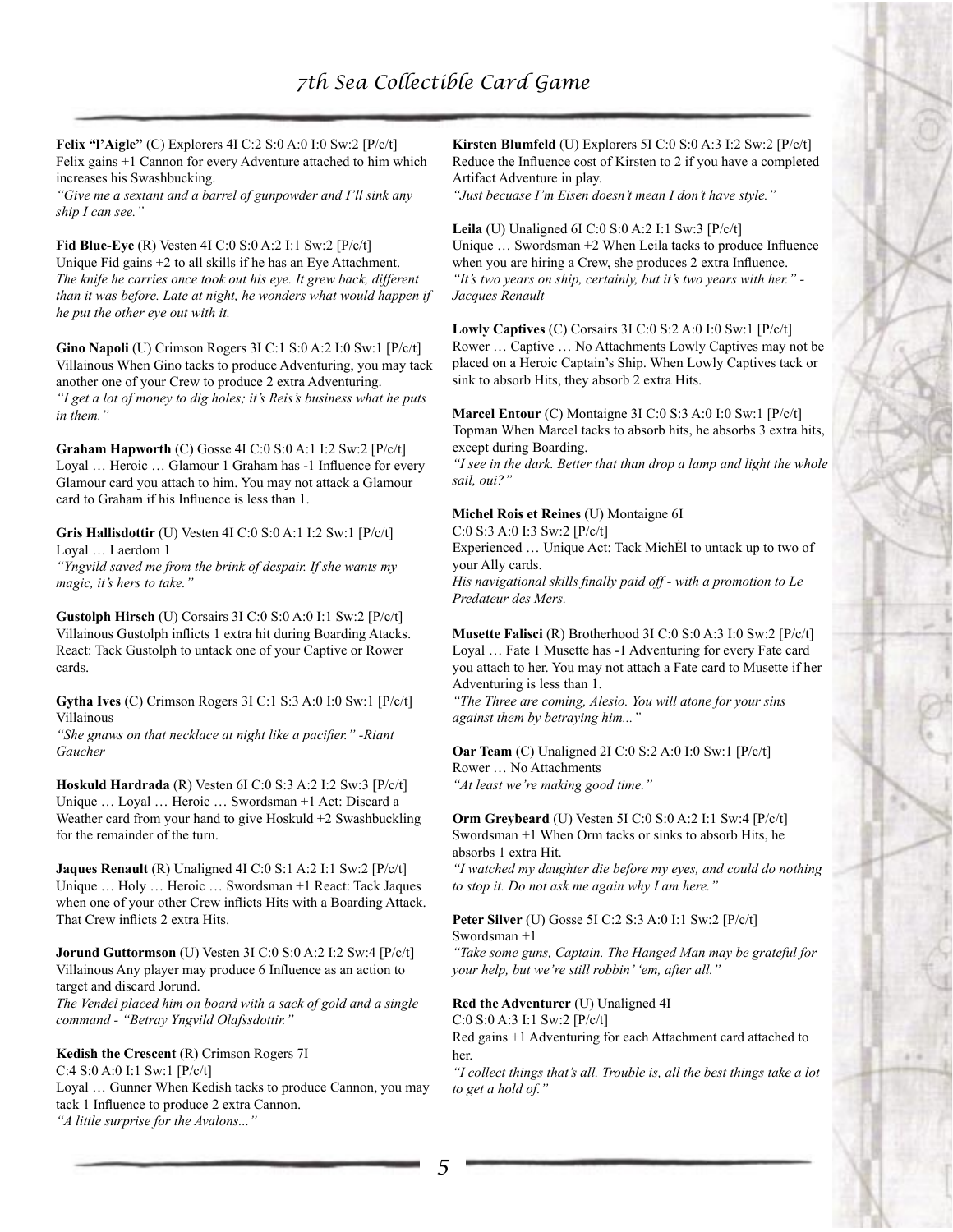**Felix "l'Aigle"** (C) Explorers 4I C:2 S:0 A:0 I:0 Sw:2 [P/c/t] Felix gains +1 Cannon for every Adventure attached to him which increases his Swashbucking.

*"Give me a sextant and a barrel of gunpowder and I'll sink any ship I can see."* 

**Fid Blue-Eye** (R) Vesten 4I C:0 S:0 A:2 I:1 Sw:2 [P/c/t] Unique Fid gains +2 to all skills if he has an Eye Attachment. *The knife he carries once took out his eye. It grew back, different than it was before. Late at night, he wonders what would happen if he put the other eye out with it.* 

**Gino Napoli** (U) Crimson Rogers 3I C:1 S:0 A:2 I:0 Sw:1 [P/c/t] Villainous When Gino tacks to produce Adventuring, you may tack another one of your Crew to produce 2 extra Adventuring. *"I get a lot of money to dig holes; it's Reis's business what he puts in them."* 

**Graham Hapworth** (C) Gosse 4I C:0 S:0 A:1 I:2 Sw:2 [P/c/t] Loyal … Heroic … Glamour 1 Graham has -1 Influence for every Glamour card you attach to him. You may not attack a Glamour card to Graham if his Influence is less than 1.

**Gris Hallisdottir** (U) Vesten 4I C:0 S:0 A:1 I:2 Sw:1 [P/c/t] Loyal … Laerdom 1

*"Yngvild saved me from the brink of despair. If she wants my magic, it's hers to take."*

**Gustolph Hirsch** (U) Corsairs 3I C:0 S:0 A:0 I:1 Sw:2 [P/c/t] Villainous Gustolph inflicts 1 extra hit during Boarding Atacks. React: Tack Gustolph to untack one of your Captive or Rower cards.

**Gytha Ives** (C) Crimson Rogers 3I C:1 S:3 A:0 I:0 Sw:1 [P/c/t] Villainous

*"She gnaws on that necklace at night like a pacifier." -Riant Gaucher* 

**Hoskuld Hardrada** (R) Vesten 6I C:0 S:3 A:2 I:2 Sw:3 [P/c/t] Unique … Loyal … Heroic … Swordsman +1 Act: Discard a Weather card from your hand to give Hoskuld +2 Swashbuckling for the remainder of the turn.

**Jaques Renault** (R) Unaligned 4I C:0 S:1 A:2 I:1 Sw:2 [P/c/t] Unique … Holy … Heroic … Swordsman +1 React: Tack Jaques when one of your other Crew inflicts Hits with a Boarding Attack. That Crew inflicts 2 extra Hits.

**Jorund Guttormson** (U) Vesten 3I C:0 S:0 A:2 I:2 Sw:4 [P/c/t] Villainous Any player may produce 6 Influence as an action to target and discard Jorund.

*The Vendel placed him on board with a sack of gold and a single command - "Betray Yngvild Olafssdottir."*

**Kedish the Crescent** (R) Crimson Rogers 7I C:4 S:0 A:0 I:1 Sw:1 [P/c/t] Loyal … Gunner When Kedish tacks to produce Cannon, you may

tack 1 Influence to produce 2 extra Cannon. *"A little surprise for the Avalons..."* 

**Kirsten Blumfeld** (U) Explorers 5I C:0 S:0 A:3 I:2 Sw:2 [P/c/t] Reduce the Influence cost of Kirsten to 2 if you have a completed Artifact Adventure in play.

*"Just becuase I'm Eisen doesn't mean I don't have style."* 

**Leila** (U) Unaligned 6I C:0 S:0 A:2 I:1 Sw:3 [P/c/t] Unique … Swordsman +2 When Leila tacks to produce Influence when you are hiring a Crew, she produces 2 extra Influence. *"It's two years on ship, certainly, but it's two years with her." - Jacques Renault* 

**Lowly Captives** (C) Corsairs 3I C:0 S:2 A:0 I:0 Sw:1 [P/c/t] Rower … Captive … No Attachments Lowly Captives may not be placed on a Heroic Captain's Ship. When Lowly Captives tack or sink to absorb Hits, they absorb 2 extra Hits.

**Marcel Entour** (C) Montaigne 3I C:0 S:3 A:0 I:0 Sw:1 [P/c/t] Topman When Marcel tacks to absorb hits, he absorbs 3 extra hits, except during Boarding.

*"I see in the dark. Better that than drop a lamp and light the whole sail, oui?"* 

**Michel Rois et Reines** (U) Montaigne 6I

C:0 S:3 A:0 I:3 Sw:2 [P/c/t] Experienced … Unique Act: Tack MichÈl to untack up to two of your Ally cards.

*His navigational skills finally paid off - with a promotion to Le Predateur des Mers.* 

**Musette Falisci** (R) Brotherhood 3I C:0 S:0 A:3 I:0 Sw:2 [P/c/t] Loyal … Fate 1 Musette has -1 Adventuring for every Fate card you attach to her. You may not attach a Fate card to Musette if her Adventuring is less than 1.

*"The Three are coming, Alesio. You will atone for your sins against them by betraying him..."* 

**Oar Team** (C) Unaligned 2I C:0 S:2 A:0 I:0 Sw:1 [P/c/t] Rower … No Attachments

*"At least we're making good time."* 

**Orm Greybeard** (U) Vesten 5I C:0 S:0 A:2 I:1 Sw:4 [P/c/t] Swordsman +1 When Orm tacks or sinks to absorb Hits, he absorbs 1 extra Hit.

*"I watched my daughter die before my eyes, and could do nothing to stop it. Do not ask me again why I am here."* 

**Peter Silver** (U) Gosse 5I C:2 S:3 A:0 I:1 Sw:2 [P/c/t] Swordsman +1

*"Take some guns, Captain. The Hanged Man may be grateful for your help, but we're still robbin' 'em, after all."* 

**Red the Adventurer** (U) Unaligned 4I

C:0 S:0 A:3 I:1 Sw:2 [P/c/t] Red gains +1 Adventuring for each Attachment card attached to her.

*"I collect things that's all. Trouble is, all the best things take a lot to get a hold of."*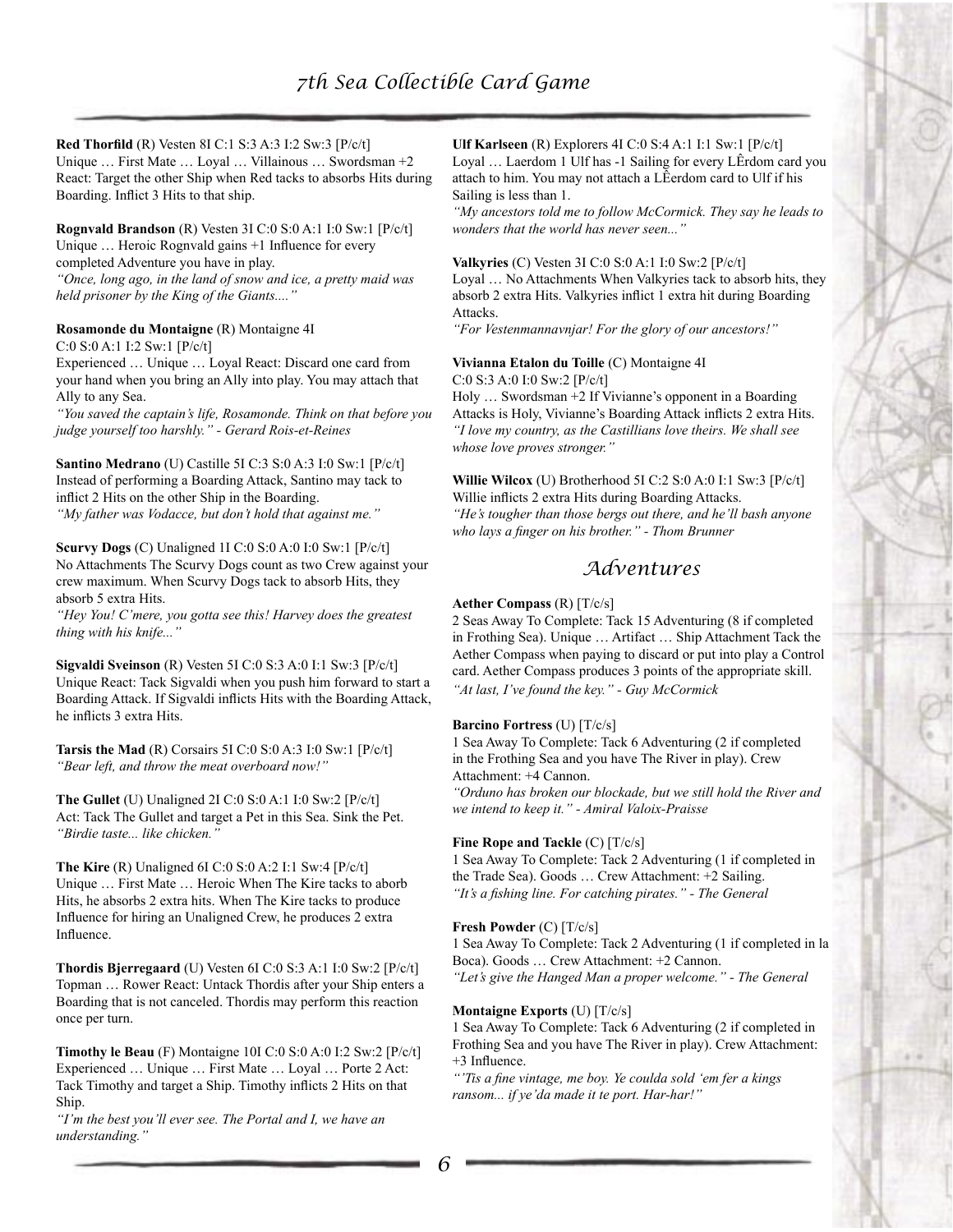**Red Thorfild** (R) Vesten 8I C:1 S:3 A:3 I:2 Sw:3 [P/c/t]

Unique … First Mate … Loyal … Villainous … Swordsman +2 React: Target the other Ship when Red tacks to absorbs Hits during Boarding. Inflict 3 Hits to that ship.

**Rognvald Brandson** (R) Vesten 3I C:0 S:0 A:1 I:0 Sw:1 [P/c/t] Unique … Heroic Rognvald gains +1 Influence for every completed Adventure you have in play. *"Once, long ago, in the land of snow and ice, a pretty maid was* 

*held prisoner by the King of the Giants...."* 

## **Rosamonde du Montaigne** (R) Montaigne 4I

C:0 S:0 A:1 I:2 Sw:1 [P/c/t]

Experienced … Unique … Loyal React: Discard one card from your hand when you bring an Ally into play. You may attach that Ally to any Sea.

*"You saved the captain's life, Rosamonde. Think on that before you judge yourself too harshly." - Gerard Rois-et-Reines* 

**Santino Medrano** (U) Castille 5I C:3 S:0 A:3 I:0 Sw:1 [P/c/t] Instead of performing a Boarding Attack, Santino may tack to inflict 2 Hits on the other Ship in the Boarding. *"My father was Vodacce, but don't hold that against me."* 

**Scurvy Dogs** (C) Unaligned 1I C:0 S:0 A:0 I:0 Sw:1 [P/c/t] No Attachments The Scurvy Dogs count as two Crew against your crew maximum. When Scurvy Dogs tack to absorb Hits, they absorb 5 extra Hits.

*"Hey You! C'mere, you gotta see this! Harvey does the greatest thing with his knife..."* 

**Sigvaldi Sveinson** (R) Vesten 5I C:0 S:3 A:0 I:1 Sw:3 [P/c/t] Unique React: Tack Sigvaldi when you push him forward to start a Boarding Attack. If Sigvaldi inflicts Hits with the Boarding Attack, he inflicts 3 extra Hits.

**Tarsis the Mad** (R) Corsairs 5I C:0 S:0 A:3 I:0 Sw:1 [P/c/t] *"Bear left, and throw the meat overboard now!"* 

**The Gullet** (U) Unaligned 2I C:0 S:0 A:1 I:0 Sw:2 [P/c/t] Act: Tack The Gullet and target a Pet in this Sea. Sink the Pet. *"Birdie taste... like chicken."* 

**The Kire** (R) Unaligned 6I C:0 S:0 A:2 I:1 Sw:4 [P/c/t] Unique … First Mate … Heroic When The Kire tacks to aborb Hits, he absorbs 2 extra hits. When The Kire tacks to produce Influence for hiring an Unaligned Crew, he produces 2 extra Influence.

**Thordis Bjerregaard** (U) Vesten 6I C:0 S:3 A:1 I:0 Sw:2 [P/c/t] Topman … Rower React: Untack Thordis after your Ship enters a Boarding that is not canceled. Thordis may perform this reaction once per turn.

**Timothy le Beau** (F) Montaigne 10I C:0 S:0 A:0 I:2 Sw:2 [P/c/t] Experienced … Unique … First Mate … Loyal … Porte 2 Act: Tack Timothy and target a Ship. Timothy inflicts 2 Hits on that Ship.

*"I'm the best you'll ever see. The Portal and I, we have an understanding."* 

**Ulf Karlseen** (R) Explorers 4I C:0 S:4 A:1 I:1 Sw:1 [P/c/t] Loyal … Laerdom 1 Ulf has -1 Sailing for every LÊrdom card you attach to him. You may not attach a LÊerdom card to Ulf if his Sailing is less than 1.

*"My ancestors told me to follow McCormick. They say he leads to wonders that the world has never seen..."* 

**Valkyries** (C) Vesten 3I C:0 S:0 A:1 I:0 Sw:2 [P/c/t] Loyal … No Attachments When Valkyries tack to absorb hits, they absorb 2 extra Hits. Valkyries inflict 1 extra hit during Boarding Attacks.

*"For Vestenmannavnjar! For the glory of our ancestors!"* 

**Vivianna Etalon du Toille** (C) Montaigne 4I

C:0 S:3 A:0 I:0 Sw:2 [P/c/t]

Holy … Swordsman +2 If Vivianne's opponent in a Boarding Attacks is Holy, Vivianne's Boarding Attack inflicts 2 extra Hits. *"I love my country, as the Castillians love theirs. We shall see whose love proves stronger."* 

**Willie Wilcox** (U) Brotherhood 5I C:2 S:0 A:0 I:1 Sw:3 [P/c/t] Willie inflicts 2 extra Hits during Boarding Attacks. *"He's tougher than those bergs out there, and he'll bash anyone who lays a finger on his brother." - Thom Brunner*

## *Adventures*

## **Aether Compass** (R) [T/c/s]

2 Seas Away To Complete: Tack 15 Adventuring (8 if completed in Frothing Sea). Unique … Artifact … Ship Attachment Tack the Aether Compass when paying to discard or put into play a Control card. Aether Compass produces 3 points of the appropriate skill. *"At last, I've found the key." - Guy McCormick* 

## **Barcino Fortress** (U) [T/c/s]

1 Sea Away To Complete: Tack 6 Adventuring (2 if completed in the Frothing Sea and you have The River in play). Crew Attachment: +4 Cannon.

*"Orduno has broken our blockade, but we still hold the River and we intend to keep it." - Amiral Valoix-Praisse* 

## **Fine Rope and Tackle** (C) [T/c/s]

1 Sea Away To Complete: Tack 2 Adventuring (1 if completed in the Trade Sea). Goods … Crew Attachment: +2 Sailing. *"It's a fishing line. For catching pirates." - The General* 

## **Fresh Powder** (C) [T/c/s]

1 Sea Away To Complete: Tack 2 Adventuring (1 if completed in la Boca). Goods … Crew Attachment: +2 Cannon. *"Let's give the Hanged Man a proper welcome." - The General* 

## **Montaigne Exports** (U) [T/c/s]

1 Sea Away To Complete: Tack 6 Adventuring (2 if completed in Frothing Sea and you have The River in play). Crew Attachment: +3 Influence.

*"'Tis a fine vintage, me boy. Ye coulda sold 'em fer a kings ransom... if ye'da made it te port. Har-har!"*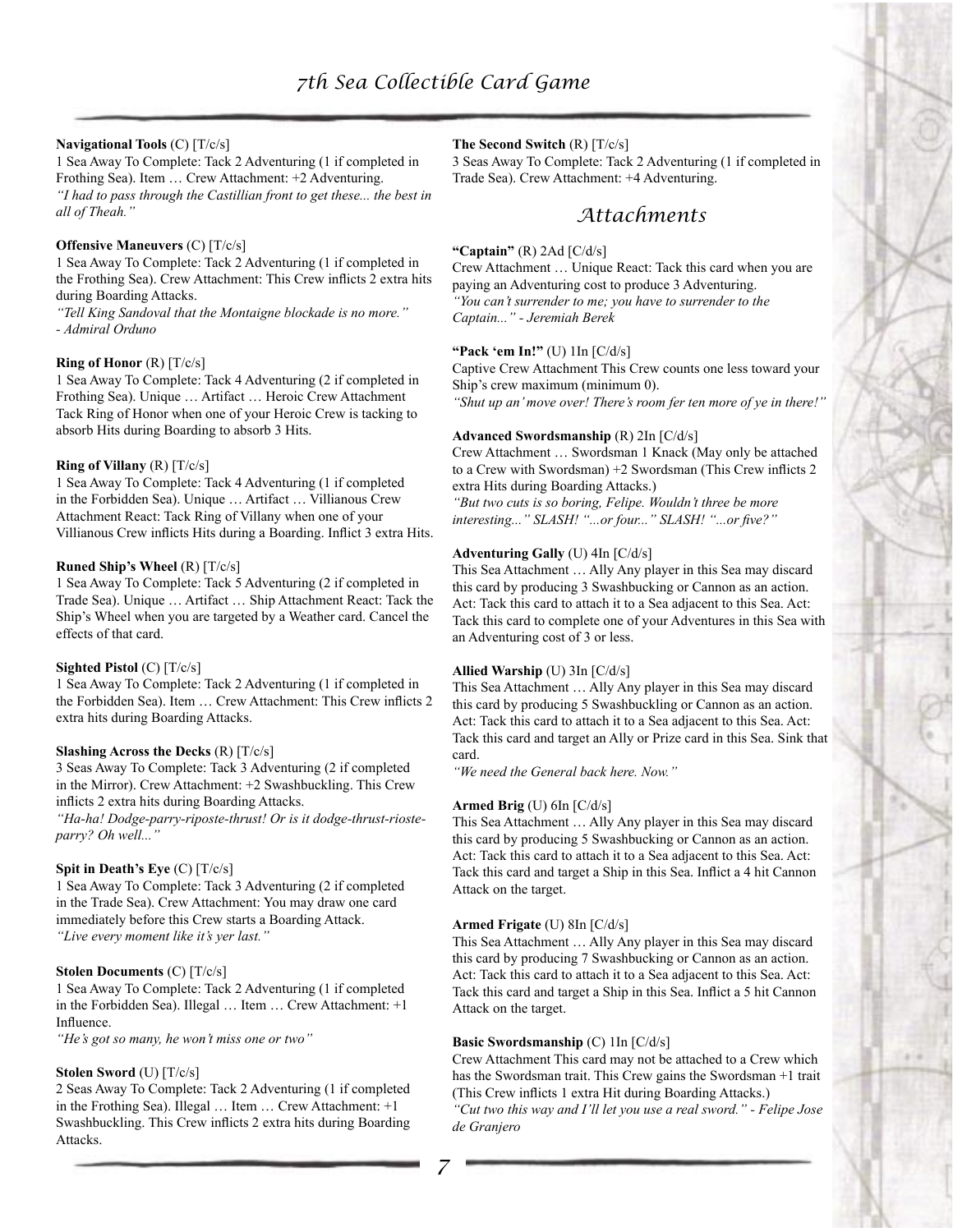## **Navigational Tools** (C) [T/c/s]

1 Sea Away To Complete: Tack 2 Adventuring (1 if completed in Frothing Sea). Item … Crew Attachment: +2 Adventuring. *"I had to pass through the Castillian front to get these... the best in all of Theah."*

#### **Offensive Maneuvers** (C) [T/c/s]

1 Sea Away To Complete: Tack 2 Adventuring (1 if completed in the Frothing Sea). Crew Attachment: This Crew inflicts 2 extra hits during Boarding Attacks.

*"Tell King Sandoval that the Montaigne blockade is no more." - Admiral Orduno* 

#### **Ring of Honor** (R) [T/c/s]

1 Sea Away To Complete: Tack 4 Adventuring (2 if completed in Frothing Sea). Unique … Artifact … Heroic Crew Attachment Tack Ring of Honor when one of your Heroic Crew is tacking to absorb Hits during Boarding to absorb 3 Hits.

#### **Ring of Villany** (R) [T/c/s]

1 Sea Away To Complete: Tack 4 Adventuring (1 if completed in the Forbidden Sea). Unique … Artifact … Villianous Crew Attachment React: Tack Ring of Villany when one of your Villianous Crew inflicts Hits during a Boarding. Inflict 3 extra Hits.

#### **Runed Ship's Wheel** (R) [T/c/s]

1 Sea Away To Complete: Tack 5 Adventuring (2 if completed in Trade Sea). Unique … Artifact … Ship Attachment React: Tack the Ship's Wheel when you are targeted by a Weather card. Cancel the effects of that card.

#### **Sighted Pistol** (C) [T/c/s]

1 Sea Away To Complete: Tack 2 Adventuring (1 if completed in the Forbidden Sea). Item … Crew Attachment: This Crew inflicts 2 extra hits during Boarding Attacks.

## **Slashing Across the Decks** (R) [T/c/s]

3 Seas Away To Complete: Tack 3 Adventuring (2 if completed in the Mirror). Crew Attachment: +2 Swashbuckling. This Crew inflicts 2 extra hits during Boarding Attacks.

*"Ha-ha! Dodge-parry-riposte-thrust! Or is it dodge-thrust-riosteparry? Oh well..."*

#### **Spit in Death's Eye** (C) [T/c/s]

1 Sea Away To Complete: Tack 3 Adventuring (2 if completed in the Trade Sea). Crew Attachment: You may draw one card immediately before this Crew starts a Boarding Attack. *"Live every moment like it's yer last."* 

#### **Stolen Documents** (C) [T/c/s]

1 Sea Away To Complete: Tack 2 Adventuring (1 if completed in the Forbidden Sea). Illegal … Item … Crew Attachment: +1 Influence.

*"He's got so many, he won't miss one or two"* 

## **Stolen Sword** (U) [T/c/s]

2 Seas Away To Complete: Tack 2 Adventuring (1 if completed in the Frothing Sea). Illegal … Item … Crew Attachment: +1 Swashbuckling. This Crew inflicts 2 extra hits during Boarding Attacks.

### **The Second Switch** (R) [T/c/s]

3 Seas Away To Complete: Tack 2 Adventuring (1 if completed in Trade Sea). Crew Attachment: +4 Adventuring.

## *Attachments*

### **"Captain"** (R) 2Ad [C/d/s]

Crew Attachment … Unique React: Tack this card when you are paying an Adventuring cost to produce 3 Adventuring. *"You can't surrender to me; you have to surrender to the Captain..." - Jeremiah Berek* 

#### **"Pack 'em In!"** (U) 1In [C/d/s]

Captive Crew Attachment This Crew counts one less toward your Ship's crew maximum (minimum 0). *"Shut up an' move over! There's room fer ten more of ye in there!"* 

### **Advanced Swordsmanship** (R) 2In [C/d/s]

Crew Attachment … Swordsman 1 Knack (May only be attached to a Crew with Swordsman) +2 Swordsman (This Crew inflicts 2 extra Hits during Boarding Attacks.)

*"But two cuts is so boring, Felipe. Wouldn't three be more interesting..." SLASH! "...or four..." SLASH! "...or five?"*

#### **Adventuring Gally** (U) 4In [C/d/s]

This Sea Attachment … Ally Any player in this Sea may discard this card by producing 3 Swashbucking or Cannon as an action. Act: Tack this card to attach it to a Sea adjacent to this Sea. Act: Tack this card to complete one of your Adventures in this Sea with an Adventuring cost of 3 or less.

#### **Allied Warship** (U) 3In [C/d/s]

This Sea Attachment … Ally Any player in this Sea may discard this card by producing 5 Swashbuckling or Cannon as an action. Act: Tack this card to attach it to a Sea adjacent to this Sea. Act: Tack this card and target an Ally or Prize card in this Sea. Sink that card.

*"We need the General back here. Now."*

#### **Armed Brig** (U) 6In [C/d/s]

This Sea Attachment … Ally Any player in this Sea may discard this card by producing 5 Swashbucking or Cannon as an action. Act: Tack this card to attach it to a Sea adjacent to this Sea. Act: Tack this card and target a Ship in this Sea. Inflict a 4 hit Cannon Attack on the target.

#### **Armed Frigate** (U) 8In [C/d/s]

This Sea Attachment … Ally Any player in this Sea may discard this card by producing 7 Swashbucking or Cannon as an action. Act: Tack this card to attach it to a Sea adjacent to this Sea. Act: Tack this card and target a Ship in this Sea. Inflict a 5 hit Cannon Attack on the target.

#### **Basic Swordsmanship** (C) 1In [C/d/s]

Crew Attachment This card may not be attached to a Crew which has the Swordsman trait. This Crew gains the Swordsman +1 trait (This Crew inflicts 1 extra Hit during Boarding Attacks.)

*"Cut two this way and I'll let you use a real sword." - Felipe Jose de Granjero*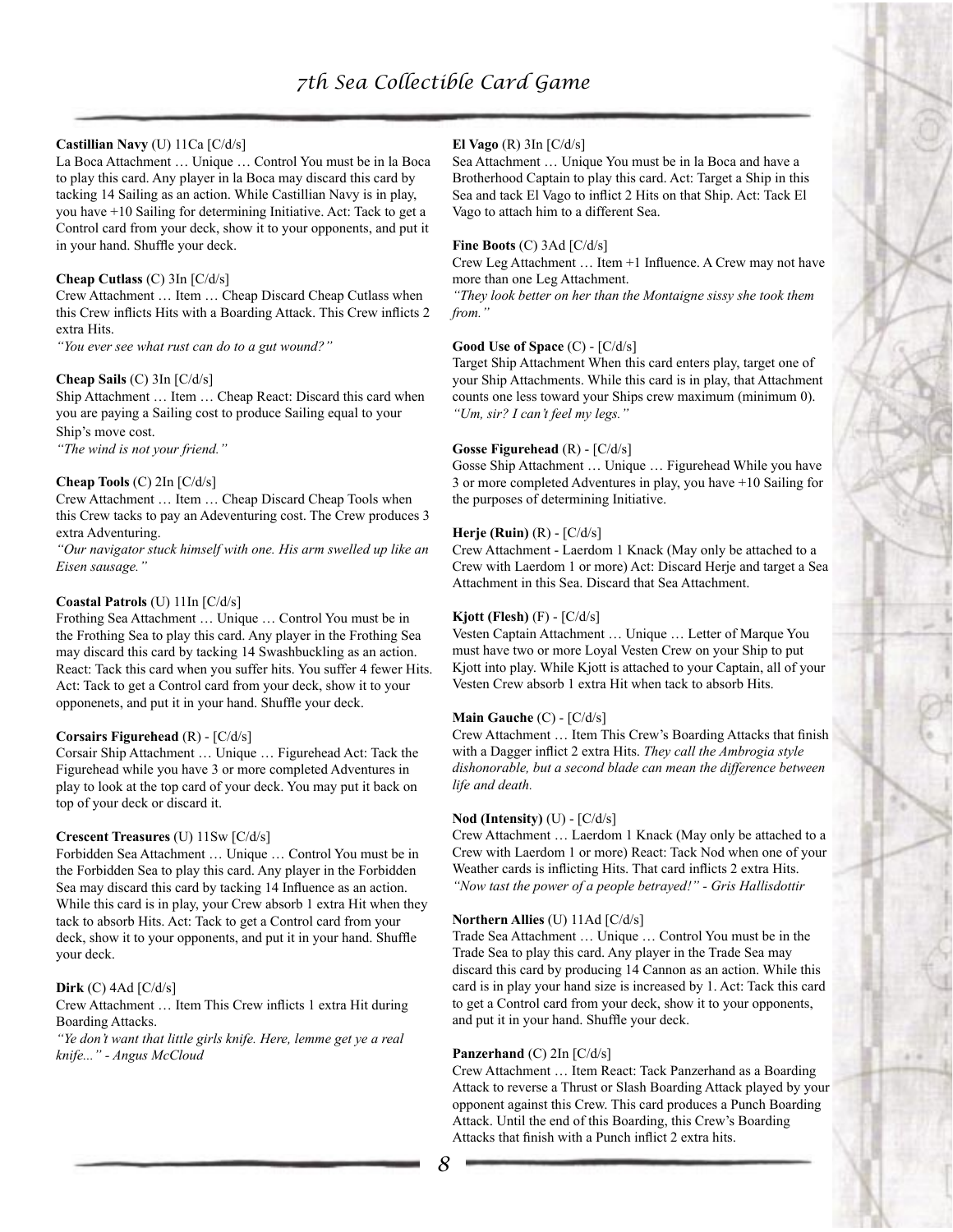## **Castillian Navy** (U) 11Ca [C/d/s]

La Boca Attachment … Unique … Control You must be in la Boca to play this card. Any player in la Boca may discard this card by tacking 14 Sailing as an action. While Castillian Navy is in play, you have +10 Sailing for determining Initiative. Act: Tack to get a Control card from your deck, show it to your opponents, and put it in your hand. Shuffle your deck.

#### **Cheap Cutlass** (C) 3In [C/d/s]

Crew Attachment … Item … Cheap Discard Cheap Cutlass when this Crew inflicts Hits with a Boarding Attack. This Crew inflicts 2 extra Hits.

*"You ever see what rust can do to a gut wound?"* 

## **Cheap Sails** (C) 3In [C/d/s]

Ship Attachment … Item … Cheap React: Discard this card when you are paying a Sailing cost to produce Sailing equal to your Ship's move cost.

*"The wind is not your friend."* 

### **Cheap Tools** (C) 2In [C/d/s]

Crew Attachment … Item … Cheap Discard Cheap Tools when this Crew tacks to pay an Adeventuring cost. The Crew produces 3 extra Adventuring.

*"Our navigator stuck himself with one. His arm swelled up like an Eisen sausage."* 

### **Coastal Patrols** (U) 11In [C/d/s]

Frothing Sea Attachment … Unique … Control You must be in the Frothing Sea to play this card. Any player in the Frothing Sea may discard this card by tacking 14 Swashbuckling as an action. React: Tack this card when you suffer hits. You suffer 4 fewer Hits. Act: Tack to get a Control card from your deck, show it to your opponenets, and put it in your hand. Shuffle your deck.

#### **Corsairs Figurehead** (R) - [C/d/s]

Corsair Ship Attachment … Unique … Figurehead Act: Tack the Figurehead while you have 3 or more completed Adventures in play to look at the top card of your deck. You may put it back on top of your deck or discard it.

## **Crescent Treasures** (U) 11Sw [C/d/s]

Forbidden Sea Attachment … Unique … Control You must be in the Forbidden Sea to play this card. Any player in the Forbidden Sea may discard this card by tacking 14 Influence as an action. While this card is in play, your Crew absorb 1 extra Hit when they tack to absorb Hits. Act: Tack to get a Control card from your deck, show it to your opponents, and put it in your hand. Shuffle your deck.

#### **Dirk** (C) 4Ad [C/d/s]

Crew Attachment … Item This Crew inflicts 1 extra Hit during Boarding Attacks.

*"Ye don't want that little girls knife. Here, lemme get ye a real knife..." - Angus McCloud* 

## **El Vago** (R) 3In [C/d/s]

Sea Attachment … Unique You must be in la Boca and have a Brotherhood Captain to play this card. Act: Target a Ship in this Sea and tack El Vago to inflict 2 Hits on that Ship. Act: Tack El Vago to attach him to a different Sea.

#### **Fine Boots** (C) 3Ad [C/d/s]

Crew Leg Attachment … Item +1 Influence. A Crew may not have more than one Leg Attachment.

*"They look better on her than the Montaigne sissy she took them from."*

### **Good Use of Space** (C) - [C/d/s]

Target Ship Attachment When this card enters play, target one of your Ship Attachments. While this card is in play, that Attachment counts one less toward your Ships crew maximum (minimum 0). *"Um, sir? I can't feel my legs."*

#### **Gosse Figurehead** (R) - [C/d/s]

Gosse Ship Attachment … Unique … Figurehead While you have 3 or more completed Adventures in play, you have +10 Sailing for the purposes of determining Initiative.

#### **Herje (Ruin)** (R) - [C/d/s]

Crew Attachment - Laerdom 1 Knack (May only be attached to a Crew with Laerdom 1 or more) Act: Discard Herje and target a Sea Attachment in this Sea. Discard that Sea Attachment.

#### **Kjott (Flesh)** (F) - [C/d/s]

Vesten Captain Attachment … Unique … Letter of Marque You must have two or more Loyal Vesten Crew on your Ship to put Kjott into play. While Kjott is attached to your Captain, all of your Vesten Crew absorb 1 extra Hit when tack to absorb Hits.

#### **Main Gauche** (C) - [C/d/s]

Crew Attachment … Item This Crew's Boarding Attacks that finish with a Dagger inflict 2 extra Hits. *They call the Ambrogia style dishonorable, but a second blade can mean the difference between life and death.*

#### **Nod (Intensity)** (U) - [C/d/s]

Crew Attachment … Laerdom 1 Knack (May only be attached to a Crew with Laerdom 1 or more) React: Tack Nod when one of your Weather cards is inflicting Hits. That card inflicts 2 extra Hits. *"Now tast the power of a people betrayed!" - Gris Hallisdottir* 

#### **Northern Allies** (U) 11Ad [C/d/s]

Trade Sea Attachment … Unique … Control You must be in the Trade Sea to play this card. Any player in the Trade Sea may discard this card by producing 14 Cannon as an action. While this card is in play your hand size is increased by 1. Act: Tack this card to get a Control card from your deck, show it to your opponents, and put it in your hand. Shuffle your deck.

#### **Panzerhand** (C) 2In [C/d/s]

Crew Attachment … Item React: Tack Panzerhand as a Boarding Attack to reverse a Thrust or Slash Boarding Attack played by your opponent against this Crew. This card produces a Punch Boarding Attack. Until the end of this Boarding, this Crew's Boarding Attacks that finish with a Punch inflict 2 extra hits.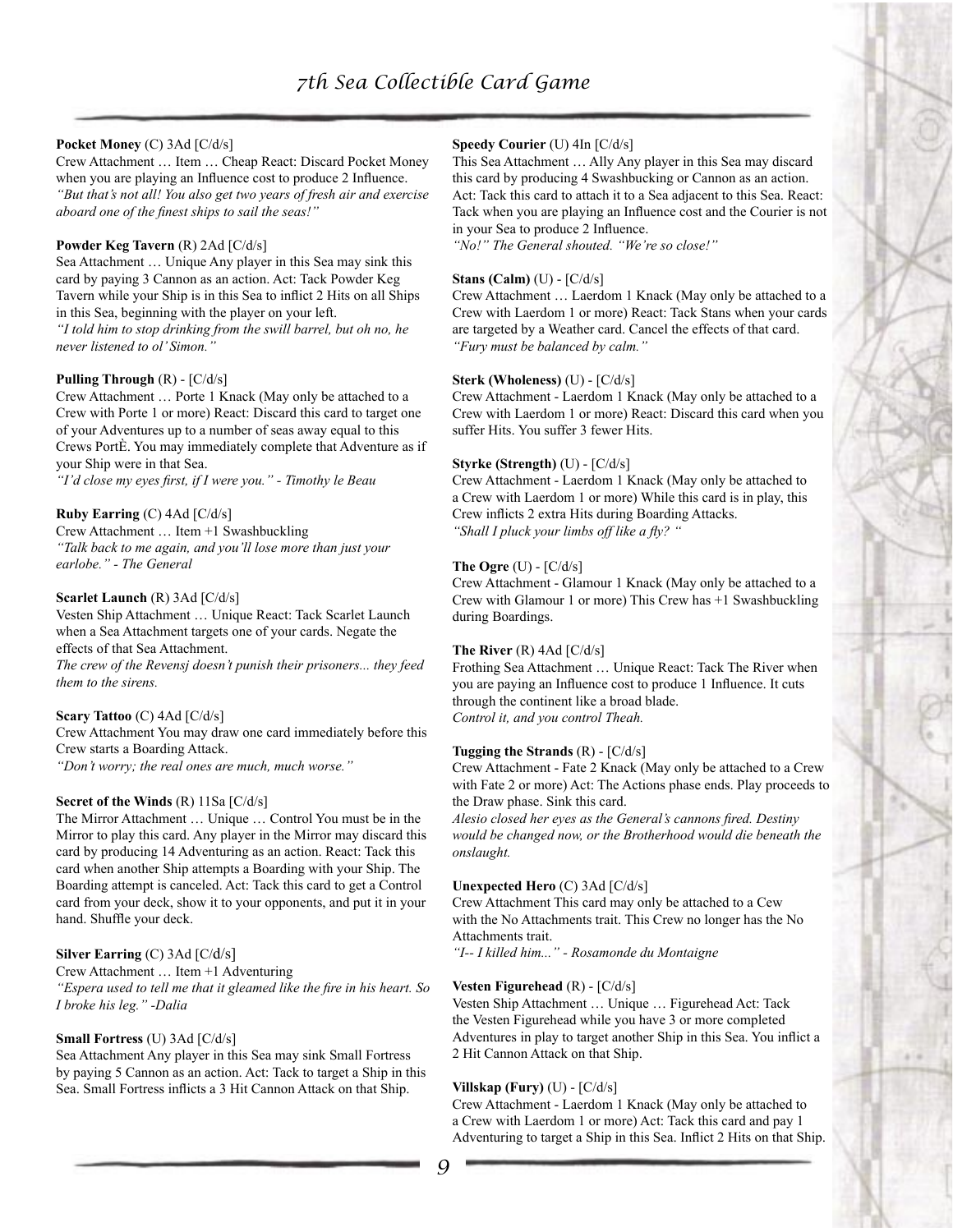## **Pocket Money** (C) 3Ad [C/d/s]

Crew Attachment … Item … Cheap React: Discard Pocket Money when you are playing an Influence cost to produce 2 Influence. *"But that's not all! You also get two years of fresh air and exercise aboard one of the finest ships to sail the seas!"* 

## **Powder Keg Tavern** (R) 2Ad [C/d/s]

Sea Attachment … Unique Any player in this Sea may sink this card by paying 3 Cannon as an action. Act: Tack Powder Keg Tavern while your Ship is in this Sea to inflict 2 Hits on all Ships in this Sea, beginning with the player on your left. *"I told him to stop drinking from the swill barrel, but oh no, he never listened to ol' Simon."*

### **Pulling Through** (R) - [C/d/s]

Crew Attachment … Porte 1 Knack (May only be attached to a Crew with Porte 1 or more) React: Discard this card to target one of your Adventures up to a number of seas away equal to this Crews PortÈ. You may immediately complete that Adventure as if your Ship were in that Sea.

*"I'd close my eyes first, if I were you." - Timothy le Beau* 

## **Ruby Earring** (C) 4Ad [C/d/s]

Crew Attachment … Item +1 Swashbuckling *"Talk back to me again, and you'll lose more than just your earlobe." - The General* 

## **Scarlet Launch** (R) 3Ad [C/d/s]

Vesten Ship Attachment … Unique React: Tack Scarlet Launch when a Sea Attachment targets one of your cards. Negate the effects of that Sea Attachment.

*The crew of the Revensj doesn't punish their prisoners... they feed them to the sirens.* 

#### **Scary Tattoo** (C) 4Ad [C/d/s]

Crew Attachment You may draw one card immediately before this Crew starts a Boarding Attack.

*"Don't worry; the real ones are much, much worse."*

#### **Secret of the Winds** (R) 11Sa [C/d/s]

The Mirror Attachment … Unique … Control You must be in the Mirror to play this card. Any player in the Mirror may discard this card by producing 14 Adventuring as an action. React: Tack this card when another Ship attempts a Boarding with your Ship. The Boarding attempt is canceled. Act: Tack this card to get a Control card from your deck, show it to your opponents, and put it in your hand. Shuffle your deck.

## **Silver Earring** (C) 3Ad [C/d/s]

Crew Attachment … Item +1 Adventuring *"Espera used to tell me that it gleamed like the fire in his heart. So I broke his leg." -Dalia* 

#### **Small Fortress** (U) 3Ad [C/d/s]

Sea Attachment Any player in this Sea may sink Small Fortress by paying 5 Cannon as an action. Act: Tack to target a Ship in this Sea. Small Fortress inflicts a 3 Hit Cannon Attack on that Ship.

## **Speedy Courier** (U) 4In [C/d/s]

This Sea Attachment … Ally Any player in this Sea may discard this card by producing 4 Swashbucking or Cannon as an action. Act: Tack this card to attach it to a Sea adjacent to this Sea. React: Tack when you are playing an Influence cost and the Courier is not in your Sea to produce 2 Influence.

*"No!" The General shouted. "We're so close!"* 

#### **Stans (Calm)** (U) - [C/d/s]

Crew Attachment … Laerdom 1 Knack (May only be attached to a Crew with Laerdom 1 or more) React: Tack Stans when your cards are targeted by a Weather card. Cancel the effects of that card. *"Fury must be balanced by calm."* 

### **Sterk (Wholeness)** (U) - [C/d/s]

Crew Attachment - Laerdom 1 Knack (May only be attached to a Crew with Laerdom 1 or more) React: Discard this card when you suffer Hits. You suffer 3 fewer Hits.

#### **Styrke (Strength)** (U) - [C/d/s]

Crew Attachment - Laerdom 1 Knack (May only be attached to a Crew with Laerdom 1 or more) While this card is in play, this Crew inflicts 2 extra Hits during Boarding Attacks. *"Shall I pluck your limbs off like a fly? "*

### **The Ogre** (U) - [C/d/s]

Crew Attachment - Glamour 1 Knack (May only be attached to a Crew with Glamour 1 or more) This Crew has +1 Swashbuckling during Boardings.

#### **The River** (R) 4Ad [C/d/s]

Frothing Sea Attachment … Unique React: Tack The River when you are paying an Influence cost to produce 1 Influence. It cuts through the continent like a broad blade. *Control it, and you control Theah.* 

## **Tugging the Strands** (R) - [C/d/s]

Crew Attachment - Fate 2 Knack (May only be attached to a Crew with Fate 2 or more) Act: The Actions phase ends. Play proceeds to the Draw phase. Sink this card.

*Alesio closed her eyes as the General's cannons fired. Destiny would be changed now, or the Brotherhood would die beneath the onslaught.*

#### **Unexpected Hero** (C) 3Ad [C/d/s]

Crew Attachment This card may only be attached to a Cew with the No Attachments trait. This Crew no longer has the No Attachments trait.

*"I-- I killed him..." - Rosamonde du Montaigne* 

#### **Vesten Figurehead** (R) - [C/d/s]

Vesten Ship Attachment … Unique … Figurehead Act: Tack the Vesten Figurehead while you have 3 or more completed Adventures in play to target another Ship in this Sea. You inflict a 2 Hit Cannon Attack on that Ship.

## **Villskap (Fury)** (U) - [C/d/s]

Crew Attachment - Laerdom 1 Knack (May only be attached to a Crew with Laerdom 1 or more) Act: Tack this card and pay 1 Adventuring to target a Ship in this Sea. Inflict 2 Hits on that Ship.